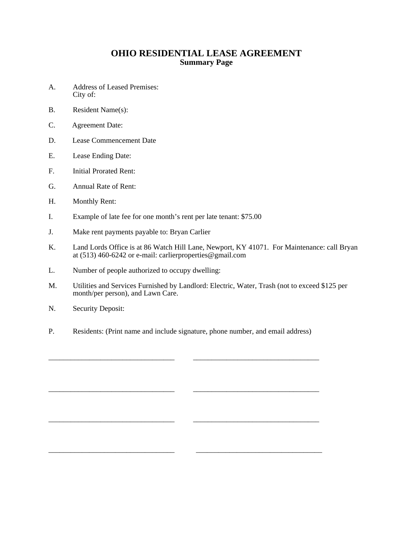## **OHIO RESIDENTIAL LEASE AGREEMENT Summary Page**

- A. Address of Leased Premises: City of:
- B. Resident Name(s):
- C. Agreement Date:
- D. Lease Commencement Date
- E. Lease Ending Date:
- F. Initial Prorated Rent:
- G. Annual Rate of Rent:
- H. Monthly Rent:
- I. Example of late fee for one month's rent per late tenant: \$75.00
- J. Make rent payments payable to: Bryan Carlier
- K. Land Lords Office is at 86 Watch Hill Lane, Newport, KY 41071. For Maintenance: call Bryan at (513) 460-6242 or e-mail: carlierproperties@gmail.com
- L. Number of people authorized to occupy dwelling:
- M. Utilities and Services Furnished by Landlord: Electric, Water, Trash (not to exceed \$125 per month/per person), and Lawn Care.
- N. Security Deposit:
- P. Residents: (Print name and include signature, phone number, and email address)

\_\_\_\_\_\_\_\_\_\_\_\_\_\_\_\_\_\_\_\_\_\_\_\_\_\_\_\_\_\_\_\_\_\_ \_\_\_\_\_\_\_\_\_\_\_\_\_\_\_\_\_\_\_\_\_\_\_\_\_\_\_\_\_\_\_\_\_\_

\_\_\_\_\_\_\_\_\_\_\_\_\_\_\_\_\_\_\_\_\_\_\_\_\_\_\_\_\_\_\_\_\_\_ \_\_\_\_\_\_\_\_\_\_\_\_\_\_\_\_\_\_\_\_\_\_\_\_\_\_\_\_\_\_\_\_\_\_

\_\_\_\_\_\_\_\_\_\_\_\_\_\_\_\_\_\_\_\_\_\_\_\_\_\_\_\_\_\_\_\_\_\_ \_\_\_\_\_\_\_\_\_\_\_\_\_\_\_\_\_\_\_\_\_\_\_\_\_\_\_\_\_\_\_\_\_\_

\_\_\_\_\_\_\_\_\_\_\_\_\_\_\_\_\_\_\_\_\_\_\_\_\_\_\_\_\_\_\_\_\_\_ \_\_\_\_\_\_\_\_\_\_\_\_\_\_\_\_\_\_\_\_\_\_\_\_\_\_\_\_\_\_\_\_\_\_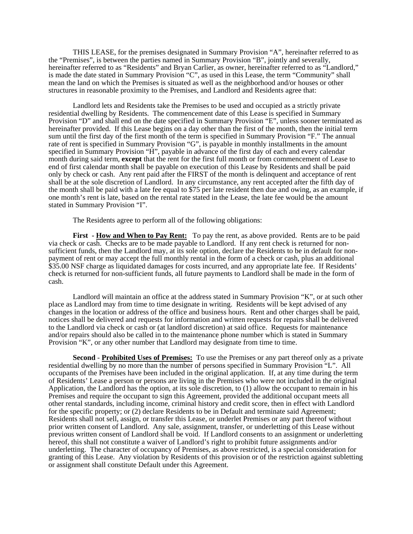THIS LEASE, for the premises designated in Summary Provision "A", hereinafter referred to as the "Premises", is between the parties named in Summary Provision "B", jointly and severally, hereinafter referred to as "Residents" and Bryan Carlier, as owner, hereinafter referred to as "Landlord," is made the date stated in Summary Provision "C", as used in this Lease, the term "Community" shall mean the land on which the Premises is situated as well as the neighborhood and/or houses or other structures in reasonable proximity to the Premises, and Landlord and Residents agree that:

 Landlord lets and Residents take the Premises to be used and occupied as a strictly private residential dwelling by Residents. The commencement date of this Lease is specified in Summary Provision "D" and shall end on the date specified in Summary Provision "E", unless sooner terminated as hereinafter provided. If this Lease begins on a day other than the first of the month, then the initial term sum until the first day of the first month of the term is specified in Summary Provision "F." The annual rate of rent is specified in Summary Provision "G", is payable in monthly installments in the amount specified in Summary Provision "H", payable in advance of the first day of each and every calendar month during said term, **except** that the rent for the first full month or from commencement of Lease to end of first calendar month shall be payable on execution of this Lease by Residents and shall be paid only by check or cash. Any rent paid after the FIRST of the month is delinquent and acceptance of rent shall be at the sole discretion of Landlord. In any circumstance, any rent accepted after the fifth day of the month shall be paid with a late fee equal to \$75 per late resident then due and owing, as an example, if one month's rent is late, based on the rental rate stated in the Lease, the late fee would be the amount stated in Summary Provision "I".

The Residents agree to perform all of the following obligations:

**First** - **How and When to Pay Rent:** To pay the rent, as above provided. Rents are to be paid via check or cash. Checks are to be made payable to Landlord. If any rent check is returned for nonsufficient funds, then the Landlord may, at its sole option, declare the Residents to be in default for nonpayment of rent or may accept the full monthly rental in the form of a check or cash, plus an additional \$35.00 NSF charge as liquidated damages for costs incurred, and any appropriate late fee. If Residents' check is returned for non-sufficient funds, all future payments to Landlord shall be made in the form of cash.

 Landlord will maintain an office at the address stated in Summary Provision "K", or at such other place as Landlord may from time to time designate in writing. Residents will be kept advised of any changes in the location or address of the office and business hours. Rent and other charges shall be paid, notices shall be delivered and requests for information and written requests for repairs shall be delivered to the Landlord via check or cash or (at landlord discretion) at said office. Requests for maintenance and/or repairs should also be called in to the maintenance phone number which is stated in Summary Provision "K", or any other number that Landlord may designate from time to time.

**Second** - **Prohibited Uses of Premises:** To use the Premises or any part thereof only as a private residential dwelling by no more than the number of persons specified in Summary Provision "L". All occupants of the Premises have been included in the original application. If, at any time during the term of Residents' Lease a person or persons are living in the Premises who were not included in the original Application, the Landlord has the option, at its sole discretion, to (1) allow the occupant to remain in his Premises and require the occupant to sign this Agreement, provided the additional occupant meets all other rental standards, including income, criminal history and credit score, then in effect with Landlord for the specific property; or (2) declare Residents to be in Default and terminate said Agreement; Residents shall not sell, assign, or transfer this Lease, or underlet Premises or any part thereof without prior written consent of Landlord. Any sale, assignment, transfer, or underletting of this Lease without previous written consent of Landlord shall be void. If Landlord consents to an assignment or underletting hereof, this shall not constitute a waiver of Landlord's right to prohibit future assignments and/or underletting. The character of occupancy of Premises, as above restricted, is a special consideration for granting of this Lease. Any violation by Residents of this provision or of the restriction against subletting or assignment shall constitute Default under this Agreement.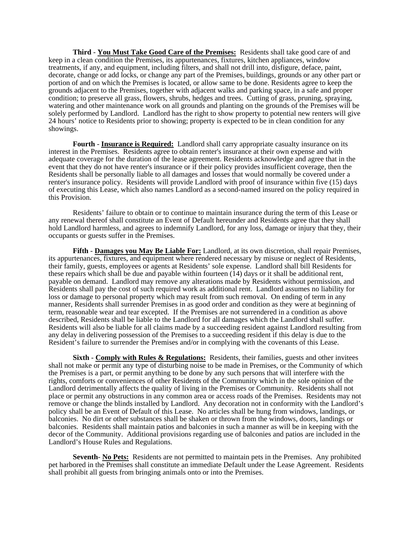**Third** - **You Must Take Good Care of the Premises:** Residents shall take good care of and keep in a clean condition the Premises, its appurtenances, fixtures, kitchen appliances, window treatments, if any, and equipment, including filters, and shall not drill into, disfigure, deface, paint, decorate, change or add locks, or change any part of the Premises, buildings, grounds or any other part or portion of and on which the Premises is located, or allow same to be done. Residents agree to keep the grounds adjacent to the Premises, together with adjacent walks and parking space, in a safe and proper condition; to preserve all grass, flowers, shrubs, hedges and trees. Cutting of grass, pruning, spraying, watering and other maintenance work on all grounds and planting on the grounds of the Premises will be solely performed by Landlord. Landlord has the right to show property to potential new renters will give 24 hours' notice to Residents prior to showing; property is expected to be in clean condition for any showings.

**Fourth** - **Insurance is Required:** Landlord shall carry appropriate casualty insurance on its interest in the Premises. Residents agree to obtain renter's insurance at their own expense and with adequate coverage for the duration of the lease agreement. Residents acknowledge and agree that in the event that they do not have renter's insurance or if their policy provides insufficient coverage, then the Residents shall be personally liable to all damages and losses that would normally be covered under a renter's insurance policy. Residents will provide Landlord with proof of insurance within five (15) days of executing this Lease, which also names Landlord as a second-named insured on the policy required in this Provision.

 Residents' failure to obtain or to continue to maintain insurance during the term of this Lease or any renewal thereof shall constitute an Event of Default hereunder and Residents agree that they shall hold Landlord harmless, and agrees to indemnify Landlord, for any loss, damage or injury that they, their occupants or guests suffer in the Premises.

**Fifth** - **Damages you May Be Liable For:** Landlord, at its own discretion, shall repair Premises, its appurtenances, fixtures, and equipment where rendered necessary by misuse or neglect of Residents, their family, guests, employees or agents at Residents' sole expense. Landlord shall bill Residents for these repairs which shall be due and payable within fourteen (14) days or it shall be additional rent, payable on demand. Landlord may remove any alterations made by Residents without permission, and Residents shall pay the cost of such required work as additional rent. Landlord assumes no liability for loss or damage to personal property which may result from such removal. On ending of term in any manner, Residents shall surrender Premises in as good order and condition as they were at beginning of term, reasonable wear and tear excepted. If the Premises are not surrendered in a condition as above described, Residents shall be liable to the Landlord for all damages which the Landlord shall suffer. Residents will also be liable for all claims made by a succeeding resident against Landlord resulting from any delay in delivering possession of the Premises to a succeeding resident if this delay is due to the Resident's failure to surrender the Premises and/or in complying with the covenants of this Lease.

**Sixth** - **Comply with Rules & Regulations:** Residents, their families, guests and other invitees shall not make or permit any type of disturbing noise to be made in Premises, or the Community of which the Premises is a part, or permit anything to be done by any such persons that will interfere with the rights, comforts or conveniences of other Residents of the Community which in the sole opinion of the Landlord detrimentally affects the quality of living in the Premises or Community. Residents shall not place or permit any obstructions in any common area or access roads of the Premises. Residents may not remove or change the blinds installed by Landlord. Any decoration not in conformity with the Landlord's policy shall be an Event of Default of this Lease. No articles shall be hung from windows, landings, or balconies. No dirt or other substances shall be shaken or thrown from the windows, doors, landings or balconies. Residents shall maintain patios and balconies in such a manner as will be in keeping with the decor of the Community. Additional provisions regarding use of balconies and patios are included in the Landlord's House Rules and Regulations.

**Seventh**- **No Pets:** Residents are not permitted to maintain pets in the Premises. Any prohibited pet harbored in the Premises shall constitute an immediate Default under the Lease Agreement. Residents shall prohibit all guests from bringing animals onto or into the Premises.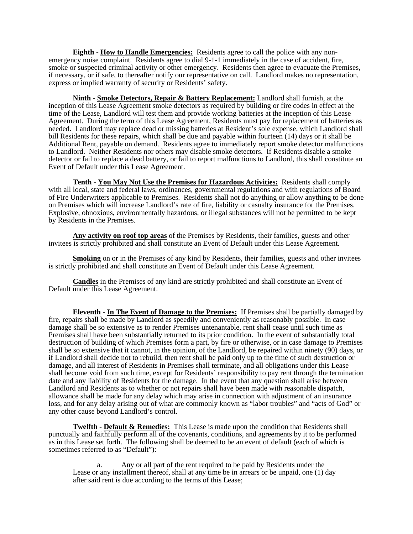**Eighth - How to Handle Emergencies:** Residents agree to call the police with any nonemergency noise complaint. Residents agree to dial 9-1-1 immediately in the case of accident, fire, smoke or suspected criminal activity or other emergency. Residents then agree to evacuate the Premises, if necessary, or if safe, to thereafter notify our representative on call. Landlord makes no representation, express or implied warranty of security or Residents' safety.

**Ninth - Smoke Detectors, Repair & Battery Replacement:** Landlord shall furnish, at the inception of this Lease Agreement smoke detectors as required by building or fire codes in effect at the time of the Lease, Landlord will test them and provide working batteries at the inception of this Lease Agreement. During the term of this Lease Agreement, Residents must pay for replacement of batteries as needed. Landlord may replace dead or missing batteries at Resident's sole expense, which Landlord shall bill Residents for these repairs, which shall be due and payable within fourteen (14) days or it shall be Additional Rent, payable on demand. Residents agree to immediately report smoke detector malfunctions to Landlord. Neither Residents nor others may disable smoke detectors. If Residents disable a smoke detector or fail to replace a dead battery, or fail to report malfunctions to Landlord, this shall constitute an Event of Default under this Lease Agreement.

**Tenth** - **You May Not Use the Premises for Hazardous Activities:** Residents shall comply with all local, state and federal laws, ordinances, governmental regulations and with regulations of Board of Fire Underwriters applicable to Premises. Residents shall not do anything or allow anything to be done on Premises which will increase Landlord's rate of fire, liability or casualty insurance for the Premises. Explosive, obnoxious, environmentally hazardous, or illegal substances will not be permitted to be kept by Residents in the Premises.

**Any activity on roof top areas** of the Premises by Residents, their families, guests and other invitees is strictly prohibited and shall constitute an Event of Default under this Lease Agreement.

**Smoking** on or in the Premises of any kind by Residents, their families, guests and other invitees is strictly prohibited and shall constitute an Event of Default under this Lease Agreement.

**Candles** in the Premises of any kind are strictly prohibited and shall constitute an Event of Default under this Lease Agreement.

**Eleventh** - **In The Event of Damage to the Premises:** If Premises shall be partially damaged by fire, repairs shall be made by Landlord as speedily and conveniently as reasonably possible. In case damage shall be so extensive as to render Premises untenantable, rent shall cease until such time as Premises shall have been substantially returned to its prior condition. In the event of substantially total destruction of building of which Premises form a part, by fire or otherwise, or in case damage to Premises shall be so extensive that it cannot, in the opinion, of the Landlord, be repaired within ninety (90) days, or if Landlord shall decide not to rebuild, then rent shall be paid only up to the time of such destruction or damage, and all interest of Residents in Premises shall terminate, and all obligations under this Lease shall become void from such time, except for Residents' responsibility to pay rent through the termination date and any liability of Residents for the damage. In the event that any question shall arise between Landlord and Residents as to whether or not repairs shall have been made with reasonable dispatch, allowance shall be made for any delay which may arise in connection with adjustment of an insurance loss, and for any delay arising out of what are commonly known as "labor troubles" and "acts of God" or any other cause beyond Landlord's control.

**Twelfth** - **Default & Remedies:** This Lease is made upon the condition that Residents shall punctually and faithfully perform all of the covenants, conditions, and agreements by it to be performed as in this Lease set forth. The following shall be deemed to be an event of default (each of which is sometimes referred to as "Default"):

 a. Any or all part of the rent required to be paid by Residents under the Lease or any installment thereof, shall at any time be in arrears or be unpaid, one (1) day after said rent is due according to the terms of this Lease;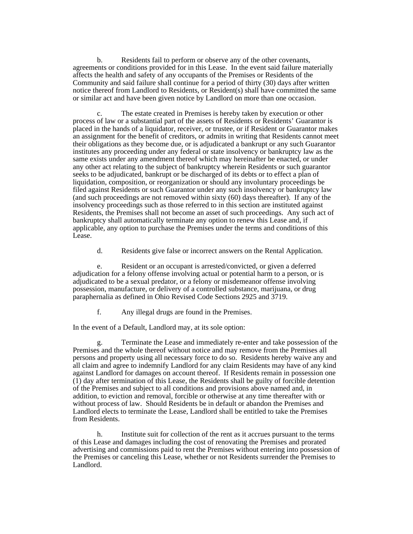b. Residents fail to perform or observe any of the other covenants, agreements or conditions provided for in this Lease. In the event said failure materially affects the health and safety of any occupants of the Premises or Residents of the Community and said failure shall continue for a period of thirty (30) days after written notice thereof from Landlord to Residents, or Resident(s) shall have committed the same or similar act and have been given notice by Landlord on more than one occasion.

 c. The estate created in Premises is hereby taken by execution or other process of law or a substantial part of the assets of Residents or Residents' Guarantor is placed in the hands of a liquidator, receiver, or trustee, or if Resident or Guarantor makes an assignment for the benefit of creditors, or admits in writing that Residents cannot meet their obligations as they become due, or is adjudicated a bankrupt or any such Guarantor institutes any proceeding under any federal or state insolvency or bankruptcy law as the same exists under any amendment thereof which may hereinafter be enacted, or under any other act relating to the subject of bankruptcy wherein Residents or such guarantor seeks to be adjudicated, bankrupt or be discharged of its debts or to effect a plan of liquidation, composition, or reorganization or should any involuntary proceedings be filed against Residents or such Guarantor under any such insolvency or bankruptcy law (and such proceedings are not removed within sixty (60) days thereafter). If any of the insolvency proceedings such as those referred to in this section are instituted against Residents, the Premises shall not become an asset of such proceedings. Any such act of bankruptcy shall automatically terminate any option to renew this Lease and, if applicable, any option to purchase the Premises under the terms and conditions of this Lease.

d. Residents give false or incorrect answers on the Rental Application.

 e. Resident or an occupant is arrested/convicted, or given a deferred adjudication for a felony offense involving actual or potential harm to a person, or is adjudicated to be a sexual predator, or a felony or misdemeanor offense involving possession, manufacture, or delivery of a controlled substance, marijuana, or drug paraphernalia as defined in Ohio Revised Code Sections 2925 and 3719.

f. Any illegal drugs are found in the Premises.

In the event of a Default, Landlord may, at its sole option:

 g. Terminate the Lease and immediately re-enter and take possession of the Premises and the whole thereof without notice and may remove from the Premises all persons and property using all necessary force to do so. Residents hereby waive any and all claim and agree to indemnify Landlord for any claim Residents may have of any kind against Landlord for damages on account thereof. If Residents remain in possession one (1) day after termination of this Lease, the Residents shall be guilty of forcible detention of the Premises and subject to all conditions and provisions above named and, in addition, to eviction and removal, forcible or otherwise at any time thereafter with or without process of law. Should Residents be in default or abandon the Premises and Landlord elects to terminate the Lease, Landlord shall be entitled to take the Premises from Residents.

 h. Institute suit for collection of the rent as it accrues pursuant to the terms of this Lease and damages including the cost of renovating the Premises and prorated advertising and commissions paid to rent the Premises without entering into possession of the Premises or canceling this Lease, whether or not Residents surrender the Premises to Landlord.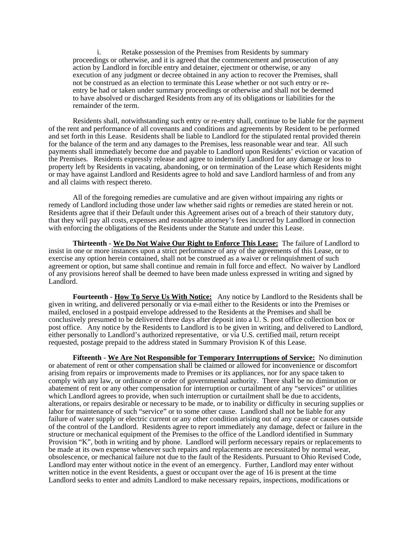i. Retake possession of the Premises from Residents by summary proceedings or otherwise, and it is agreed that the commencement and prosecution of any action by Landlord in forcible entry and detainer, ejectment or otherwise, or any execution of any judgment or decree obtained in any action to recover the Premises, shall not be construed as an election to terminate this Lease whether or not such entry or reentry be had or taken under summary proceedings or otherwise and shall not be deemed to have absolved or discharged Residents from any of its obligations or liabilities for the remainder of the term.

 Residents shall, notwithstanding such entry or re-entry shall, continue to be liable for the payment of the rent and performance of all covenants and conditions and agreements by Resident to be performed and set forth in this Lease. Residents shall be liable to Landlord for the stipulated rental provided therein for the balance of the term and any damages to the Premises, less reasonable wear and tear. All such payments shall immediately become due and payable to Landlord upon Residents' eviction or vacation of the Premises. Residents expressly release and agree to indemnify Landlord for any damage or loss to property left by Residents in vacating, abandoning, or on termination of the Lease which Residents might or may have against Landlord and Residents agree to hold and save Landlord harmless of and from any and all claims with respect thereto.

 All of the foregoing remedies are cumulative and are given without impairing any rights or remedy of Landlord including those under law whether said rights or remedies are stated herein or not. Residents agree that if their Default under this Agreement arises out of a breach of their statutory duty, that they will pay all costs, expenses and reasonable attorney's fees incurred by Landlord in connection with enforcing the obligations of the Residents under the Statute and under this Lease.

**Thirteenth** - **We Do Not Waive Our Right to Enforce This Lease:** The failure of Landlord to insist in one or more instances upon a strict performance of any of the agreements of this Lease, or to exercise any option herein contained, shall not be construed as a waiver or relinquishment of such agreement or option, but same shall continue and remain in full force and effect. No waiver by Landlord of any provisions hereof shall be deemed to have been made unless expressed in writing and signed by Landlord.

**Fourteenth** - **How To Serve Us With Notice:** Any notice by Landlord to the Residents shall be given in writing, and delivered personally or via e-mail either to the Residents or into the Premises or mailed, enclosed in a postpaid envelope addressed to the Residents at the Premises and shall be conclusively presumed to be delivered three days after deposit into a U. S. post office collection box or post office. Any notice by the Residents to Landlord is to be given in writing, and delivered to Landlord, either personally to Landlord's authorized representative, or via U.S. certified mail, return receipt requested, postage prepaid to the address stated in Summary Provision K of this Lease.

**Fifteenth** - **We Are Not Responsible for Temporary Interruptions of Service:** No diminution or abatement of rent or other compensation shall be claimed or allowed for inconvenience or discomfort arising from repairs or improvements made to Premises or its appliances, nor for any space taken to comply with any law, or ordinance or order of governmental authority. There shall be no diminution or abatement of rent or any other compensation for interruption or curtailment of any "services" or utilities which Landlord agrees to provide, when such interruption or curtailment shall be due to accidents, alterations, or repairs desirable or necessary to be made, or to inability or difficulty in securing supplies or labor for maintenance of such "service" or to some other cause. Landlord shall not be liable for any failure of water supply or electric current or any other condition arising out of any cause or causes outside of the control of the Landlord. Residents agree to report immediately any damage, defect or failure in the structure or mechanical equipment of the Premises to the office of the Landlord identified in Summary Provision "K", both in writing and by phone. Landlord will perform necessary repairs or replacements to be made at its own expense whenever such repairs and replacements are necessitated by normal wear, obsolescence, or mechanical failure not due to the fault of the Residents. Pursuant to Ohio Revised Code, Landlord may enter without notice in the event of an emergency. Further, Landlord may enter without written notice in the event Residents, a guest or occupant over the age of 16 is present at the time Landlord seeks to enter and admits Landlord to make necessary repairs, inspections, modifications or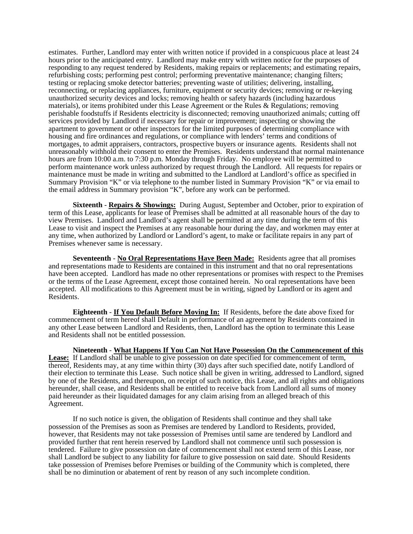estimates. Further, Landlord may enter with written notice if provided in a conspicuous place at least 24 hours prior to the anticipated entry. Landlord may make entry with written notice for the purposes of responding to any request tendered by Residents, making repairs or replacements; and estimating repairs, refurbishing costs; performing pest control; performing preventative maintenance; changing filters; testing or replacing smoke detector batteries; preventing waste of utilities; delivering, installing, reconnecting, or replacing appliances, furniture, equipment or security devices; removing or re-keying unauthorized security devices and locks; removing health or safety hazards (including hazardous materials), or items prohibited under this Lease Agreement or the Rules & Regulations; removing perishable foodstuffs if Residents electricity is disconnected; removing unauthorized animals; cutting off services provided by Landlord if necessary for repair or improvement; inspecting or showing the apartment to government or other inspectors for the limited purposes of determining compliance with housing and fire ordinances and regulations, or compliance with lenders' terms and conditions of mortgages, to admit appraisers, contractors, prospective buyers or insurance agents. Residents shall not unreasonably withhold their consent to enter the Premises. Residents understand that normal maintenance hours are from 10:00 a.m. to 7:30 p.m. Monday through Friday. No employee will be permitted to perform maintenance work unless authorized by request through the Landlord. All requests for repairs or maintenance must be made in writing and submitted to the Landlord at Landlord's office as specified in Summary Provision "K" or via telephone to the number listed in Summary Provision "K" or via email to the email address in Summary provision "K", before any work can be performed.

**Sixteenth** - **Repairs & Showings:** During August, September and October, prior to expiration of term of this Lease, applicants for lease of Premises shall be admitted at all reasonable hours of the day to view Premises. Landlord and Landlord's agent shall be permitted at any time during the term of this Lease to visit and inspect the Premises at any reasonable hour during the day, and workmen may enter at any time, when authorized by Landlord or Landlord's agent, to make or facilitate repairs in any part of Premises whenever same is necessary.

**Seventeenth** - **No Oral Representations Have Been Made:** Residents agree that all promises and representations made to Residents are contained in this instrument and that no oral representations have been accepted. Landlord has made no other representations or promises with respect to the Premises or the terms of the Lease Agreement, except those contained herein. No oral representations have been accepted. All modifications to this Agreement must be in writing, signed by Landlord or its agent and Residents.

**Eighteenth** - **If You Default Before Moving In:** If Residents, before the date above fixed for commencement of term hereof shall Default in performance of an agreement by Residents contained in any other Lease between Landlord and Residents, then, Landlord has the option to terminate this Lease and Residents shall not be entitled possession.

**Nineteenth** - **What Happens If You Can Not Have Possession On the Commencement of this Lease:** If Landlord shall be unable to give possession on date specified for commencement of term, thereof, Residents may, at any time within thirty (30) days after such specified date, notify Landlord of their election to terminate this Lease. Such notice shall be given in writing, addressed to Landlord, signed by one of the Residents, and thereupon, on receipt of such notice, this Lease, and all rights and obligations hereunder, shall cease, and Residents shall be entitled to receive back from Landlord all sums of money paid hereunder as their liquidated damages for any claim arising from an alleged breach of this Agreement.

 If no such notice is given, the obligation of Residents shall continue and they shall take possession of the Premises as soon as Premises are tendered by Landlord to Residents, provided, however, that Residents may not take possession of Premises until same are tendered by Landlord and provided further that rent herein reserved by Landlord shall not commence until such possession is tendered. Failure to give possession on date of commencement shall not extend term of this Lease, nor shall Landlord be subject to any liability for failure to give possession on said date. Should Residents take possession of Premises before Premises or building of the Community which is completed, there shall be no diminution or abatement of rent by reason of any such incomplete condition.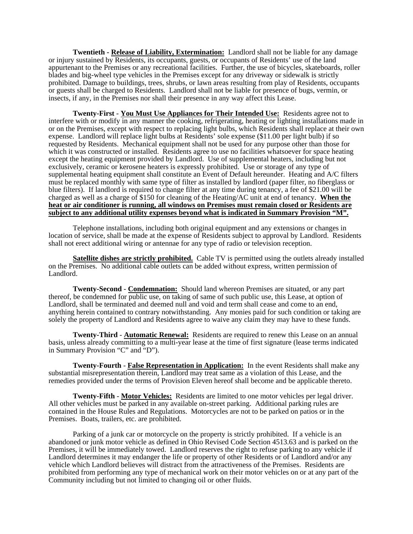**Twentieth - Release of Liability, Extermination:** Landlord shall not be liable for any damage or injury sustained by Residents, its occupants, guests, or occupants of Residents' use of the land appurtenant to the Premises or any recreational facilities. Further, the use of bicycles, skateboards, roller blades and big-wheel type vehicles in the Premises except for any driveway or sidewalk is strictly prohibited. Damage to buildings, trees, shrubs, or lawn areas resulting from play of Residents, occupants or guests shall be charged to Residents. Landlord shall not be liable for presence of bugs, vermin, or insects, if any, in the Premises nor shall their presence in any way affect this Lease.

**Twenty-First** - **You Must Use Appliances for Their Intended Use:** Residents agree not to interfere with or modify in any manner the cooking, refrigerating, heating or lighting installations made in or on the Premises, except with respect to replacing light bulbs, which Residents shall replace at their own expense. Landlord will replace light bulbs at Residents' sole expense (\$11.00 per light bulb) if so requested by Residents. Mechanical equipment shall not be used for any purpose other than those for which it was constructed or installed. Residents agree to use no facilities whatsoever for space heating except the heating equipment provided by Landlord. Use of supplemental heaters, including but not exclusively, ceramic or kerosene heaters is expressly prohibited. Use or storage of any type of supplemental heating equipment shall constitute an Event of Default hereunder. Heating and A/C filters must be replaced monthly with same type of filter as installed by landlord (paper filter, no fiberglass or blue filters). If landlord is required to change filter at any time during tenancy, a fee of \$21.00 will be charged as well as a charge of \$150 for cleaning of the Heating/AC unit at end of tenancy. **When the heat or air conditioner is running, all windows on Premises must remain closed or Residents are subject to any additional utility expenses beyond what is indicated in Summary Provision "M".** 

 Telephone installations, including both original equipment and any extensions or changes in location of service, shall be made at the expense of Residents subject to approval by Landlord. Residents shall not erect additional wiring or antennae for any type of radio or television reception.

**Satellite dishes are strictly prohibited.** Cable TV is permitted using the outlets already installed on the Premises. No additional cable outlets can be added without express, written permission of Landlord.

**Twenty-Second** - **Condemnation:** Should land whereon Premises are situated, or any part thereof, be condemned for public use, on taking of same of such public use, this Lease, at option of Landlord, shall be terminated and deemed null and void and term shall cease and come to an end, anything herein contained to contrary notwithstanding. Any monies paid for such condition or taking are solely the property of Landlord and Residents agree to waive any claim they may have to these funds.

**Twenty-Third** - **Automatic Renewal:** Residents are required to renew this Lease on an annual basis, unless already committing to a multi-year lease at the time of first signature (lease terms indicated in Summary Provision "C" and "D").

**Twenty-Fourth** - **False Representation in Application:** In the event Residents shall make any substantial misrepresentation therein, Landlord may treat same as a violation of this Lease, and the remedies provided under the terms of Provision Eleven hereof shall become and be applicable thereto.

**Twenty-Fifth** - **Motor Vehicles:** Residents are limited to one motor vehicles per legal driver. All other vehicles must be parked in any available on-street parking. Additional parking rules are contained in the House Rules and Regulations. Motorcycles are not to be parked on patios or in the Premises. Boats, trailers, etc. are prohibited.

 Parking of a junk car or motorcycle on the property is strictly prohibited. If a vehicle is an abandoned or junk motor vehicle as defined in Ohio Revised Code Section 4513.63 and is parked on the Premises, it will be immediately towed. Landlord reserves the right to refuse parking to any vehicle if Landlord determines it may endanger the life or property of other Residents or of Landlord and/or any vehicle which Landlord believes will distract from the attractiveness of the Premises. Residents are prohibited from performing any type of mechanical work on their motor vehicles on or at any part of the Community including but not limited to changing oil or other fluids.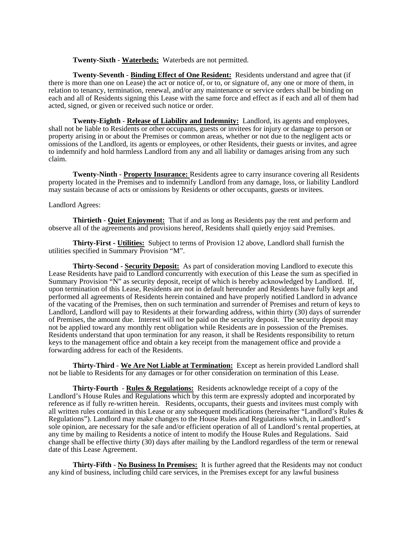**Twenty-Sixth** - **Waterbeds:** Waterbeds are not permitted.

**Twenty-Seventh** - **Binding Effect of One Resident:** Residents understand and agree that (if there is more than one on Lease) the act or notice of, or to, or signature of, any one or more of them, in relation to tenancy, termination, renewal, and/or any maintenance or service orders shall be binding on each and all of Residents signing this Lease with the same force and effect as if each and all of them had acted, signed, or given or received such notice or order.

**Twenty-Eighth** - **Release of Liability and Indemnity:** Landlord, its agents and employees, shall not be liable to Residents or other occupants, guests or invitees for injury or damage to person or property arising in or about the Premises or common areas, whether or not due to the negligent acts or omissions of the Landlord, its agents or employees, or other Residents, their guests or invites, and agree to indemnify and hold harmless Landlord from any and all liability or damages arising from any such claim.

**Twenty-Ninth** - **Property Insurance:** Residents agree to carry insurance covering all Residents property located in the Premises and to indemnify Landlord from any damage, loss, or liability Landlord may sustain because of acts or omissions by Residents or other occupants, guests or invitees.

## Landlord Agrees:

**Thirtieth** - **Quiet Enjoyment:** That if and as long as Residents pay the rent and perform and observe all of the agreements and provisions hereof, Residents shall quietly enjoy said Premises.

**Thirty-First - Utilities:** Subject to terms of Provision 12 above, Landlord shall furnish the utilities specified in Summary Provision "M".

**Thirty-Second - Security Deposit:** As part of consideration moving Landlord to execute this Lease Residents have paid to Landlord concurrently with execution of this Lease the sum as specified in Summary Provision "N" as security deposit, receipt of which is hereby acknowledged by Landlord. If, upon termination of this Lease, Residents are not in default hereunder and Residents have fully kept and performed all agreements of Residents herein contained and have properly notified Landlord in advance of the vacating of the Premises, then on such termination and surrender of Premises and return of keys to Landlord, Landlord will pay to Residents at their forwarding address, within thirty (30) days of surrender of Premises, the amount due. Interest will not be paid on the security deposit. The security deposit may not be applied toward any monthly rent obligation while Residents are in possession of the Premises. Residents understand that upon termination for any reason, it shall be Residents responsibility to return keys to the management office and obtain a key receipt from the management office and provide a forwarding address for each of the Residents.

**Thirty-Third** - **We Are Not Liable at Termination:** Except as herein provided Landlord shall not be liable to Residents for any damages or for other consideration on termination of this Lease.

**Thirty-Fourth** - **Rules & Regulations:** Residents acknowledge receipt of a copy of the Landlord's House Rules and Regulations which by this term are expressly adopted and incorporated by reference as if fully re-written herein. Residents, occupants, their guests and invitees must comply with all written rules contained in this Lease or any subsequent modifications (hereinafter "Landlord's Rules & Regulations"). Landlord may make changes to the House Rules and Regulations which, in Landlord's sole opinion, are necessary for the safe and/or efficient operation of all of Landlord's rental properties, at any time by mailing to Residents a notice of intent to modify the House Rules and Regulations. Said change shall be effective thirty (30) days after mailing by the Landlord regardless of the term or renewal date of this Lease Agreement.

**Thirty-Fifth** - **No Business In Premises:** It is further agreed that the Residents may not conduct any kind of business, including child care services, in the Premises except for any lawful business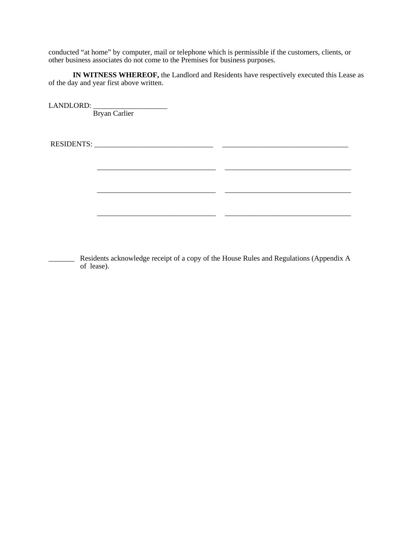conducted "at home" by computer, mail or telephone which is permissible if the customers, clients, or other business associates do not come to the Premises for business purposes.

\_\_\_\_\_\_\_\_\_\_\_\_\_\_\_\_\_\_\_\_\_\_\_\_\_\_\_\_\_\_\_\_ \_\_\_\_\_\_\_\_\_\_\_\_\_\_\_\_\_\_\_\_\_\_\_\_\_\_\_\_\_\_\_\_\_\_

\_\_\_\_\_\_\_\_\_\_\_\_\_\_\_\_\_\_\_\_\_\_\_\_\_\_\_\_\_\_\_\_ \_\_\_\_\_\_\_\_\_\_\_\_\_\_\_\_\_\_\_\_\_\_\_\_\_\_\_\_\_\_\_\_\_\_

\_\_\_\_\_\_\_\_\_\_\_\_\_\_\_\_\_\_\_\_\_\_\_\_\_\_\_\_\_\_\_\_ \_\_\_\_\_\_\_\_\_\_\_\_\_\_\_\_\_\_\_\_\_\_\_\_\_\_\_\_\_\_\_\_\_\_

**IN WITNESS WHEREOF,** the Landlord and Residents have respectively executed this Lease as of the day and year first above written.

LANDLORD: \_\_\_\_\_\_\_\_\_\_\_\_\_\_\_\_\_\_\_\_ Bryan Carlier

RESIDENTS: \_\_\_\_\_\_\_\_\_\_\_\_\_\_\_\_\_\_\_\_\_\_\_\_\_\_\_\_\_\_\_\_ \_\_\_\_\_\_\_\_\_\_\_\_\_\_\_\_\_\_\_\_\_\_\_\_\_\_\_\_\_\_\_\_\_\_

\_\_\_\_\_\_\_ Residents acknowledge receipt of a copy of the House Rules and Regulations (Appendix A of lease).